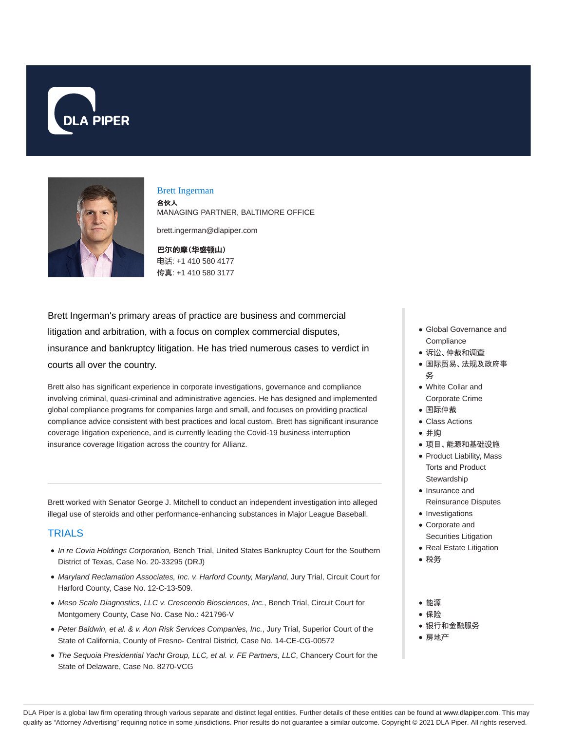



#### Brett Ingerman

合伙人 MANAGING PARTNER, BALTIMORE OFFICE

brett.ingerman@dlapiper.com

巴**尔**的摩(**华**盛**顿**山) 电话: +1 410 580 4177 传真: +1 410 580 3177

Brett Ingerman's primary areas of practice are business and commercial litigation and arbitration, with a focus on complex commercial disputes, insurance and bankruptcy litigation. He has tried numerous cases to verdict in courts all over the country.

Brett also has significant experience in corporate investigations, governance and compliance involving criminal, quasi-criminal and administrative agencies. He has designed and implemented global compliance programs for companies large and small, and focuses on providing practical compliance advice consistent with best practices and local custom. Brett has significant insurance coverage litigation experience, and is currently leading the Covid-19 business interruption insurance coverage litigation across the country for Allianz.

Brett worked with Senator George J. Mitchell to conduct an independent investigation into alleged illegal use of steroids and other performance-enhancing substances in Major League Baseball.

## **TRIALS**

- In re Covia Holdings Corporation, Bench Trial, United States Bankruptcy Court for the Southern District of Texas, Case No. 20-33295 (DRJ)
- Maryland Reclamation Associates, Inc. v. Harford County, Maryland, Jury Trial, Circuit Court for Harford County, Case No. 12-C-13-509.
- Meso Scale Diagnostics, LLC v. Crescendo Biosciences, Inc., Bench Trial, Circuit Court for Montgomery County, Case No. Case No.: 421796-V
- Peter Baldwin, et al. & v. Aon Risk Services Companies, Inc., Jury Trial, Superior Court of the State of California, County of Fresno- Central District, Case No. 14-CE-CG-00572
- The Sequoia Presidential Yacht Group, LLC, et al. v. FE Partners, LLC, Chancery Court for the State of Delaware, Case No. 8270-VCG
- Global Governance and **Compliance**
- 诉讼、仲裁和调查
- 国际贸易、法规及政府事 务
- White Collar and Corporate Crime
- 国际仲裁
- Class Actions
- 并购
- 项目、能源和基础设施
- Product Liability, Mass Torts and Product **Stewardship**
- Insurance and
- Reinsurance Disputes • Investigations
- Corporate and
- Securities Litigation
- Real Estate Litigation
- 税务
- 能源
- 保险
- 银行和金融服务
- 房地产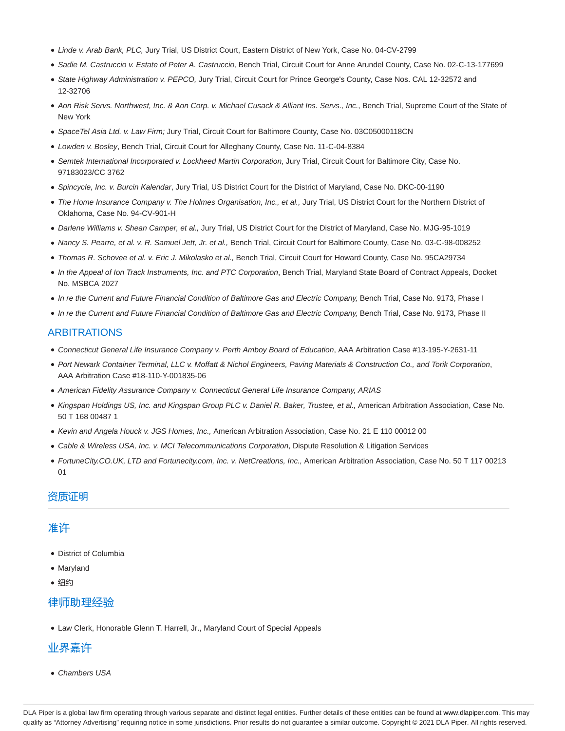- Linde v. Arab Bank, PLC, Jury Trial, US District Court, Eastern District of New York, Case No. 04-CV-2799
- · Sadie M. Castruccio v. Estate of Peter A. Castruccio, Bench Trial, Circuit Court for Anne Arundel County, Case No. 02-C-13-177699
- State Highway Administration v. PEPCO, Jury Trial, Circuit Court for Prince George's County, Case Nos. CAL 12-32572 and 12-32706
- Aon Risk Servs. Northwest, Inc. & Aon Corp. v. Michael Cusack & Alliant Ins. Servs., Inc., Bench Trial, Supreme Court of the State of New York
- SpaceTel Asia Ltd. v. Law Firm; Jury Trial, Circuit Court for Baltimore County, Case No. 03C05000118CN
- Lowden v. Bosley, Bench Trial, Circuit Court for Alleghany County, Case No. 11-C-04-8384
- Semtek International Incorporated v. Lockheed Martin Corporation, Jury Trial, Circuit Court for Baltimore City, Case No. 97183023/CC 3762
- · Spincycle, Inc. v. Burcin Kalendar, Jury Trial, US District Court for the District of Maryland, Case No. DKC-00-1190
- . The Home Insurance Company v. The Holmes Organisation, Inc., et al., Jury Trial, US District Court for the Northern District of Oklahoma, Case No. 94-CV-901-H
- Darlene Williams v. Shean Camper, et al., Jury Trial, US District Court for the District of Maryland, Case No. MJG-95-1019
- Nancy S. Pearre, et al. v. R. Samuel Jett, Jr. et al., Bench Trial, Circuit Court for Baltimore County, Case No. 03-C-98-008252
- Thomas R. Schovee et al. v. Eric J. Mikolasko et al., Bench Trial, Circuit Court for Howard County, Case No. 95CA29734
- In the Appeal of Ion Track Instruments, Inc. and PTC Corporation, Bench Trial, Maryland State Board of Contract Appeals, Docket No. MSBCA 2027
- In re the Current and Future Financial Condition of Baltimore Gas and Electric Company, Bench Trial, Case No. 9173, Phase I
- In re the Current and Future Financial Condition of Baltimore Gas and Electric Company, Bench Trial, Case No. 9173, Phase II

### ARBITRATIONS

- Connecticut General Life Insurance Company v. Perth Amboy Board of Education, AAA Arbitration Case #13-195-Y-2631-11
- Port Newark Container Terminal, LLC v. Moffatt & Nichol Engineers, Paving Materials & Construction Co., and Torik Corporation, AAA Arbitration Case #18-110-Y-001835-06
- American Fidelity Assurance Company v. Connecticut General Life Insurance Company, ARIAS
- Kingspan Holdings US, Inc. and Kingspan Group PLC v. Daniel R. Baker, Trustee, et al., American Arbitration Association, Case No. 50 T 168 00487 1
- Kevin and Angela Houck v. JGS Homes, Inc., American Arbitration Association, Case No. 21 E 110 00012 00
- Cable & Wireless USA, Inc. v. MCI Telecommunications Corporation, Dispute Resolution & Litigation Services
- FortuneCity.CO.UK, LTD and Fortunecity.com, Inc. v. NetCreations, Inc., American Arbitration Association, Case No. 50 T 117 00213 01

### 资质证明

## 准许

- District of Columbia
- Maryland
- 纽约

## 律师助理经验

Law Clerk, Honorable Glenn T. Harrell, Jr., Maryland Court of Special Appeals

## 业界嘉许

• Chambers USA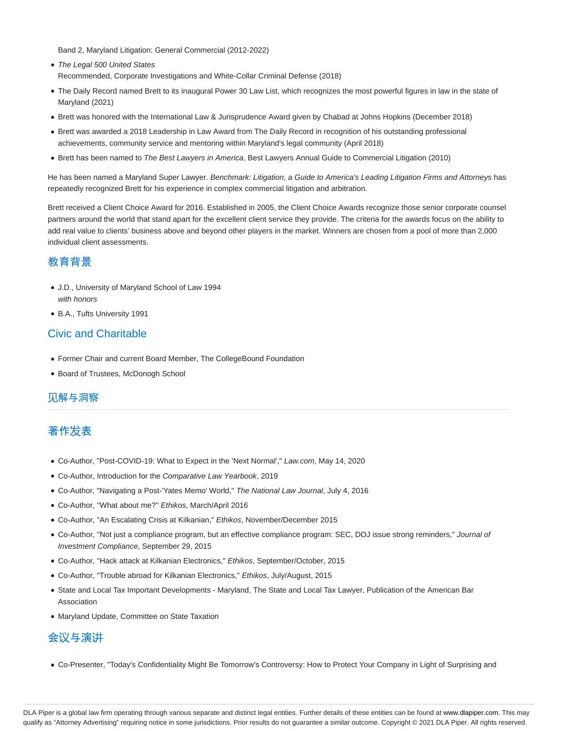Band 2, Maryland Litigation: General Commercial (2012-2022)

- The Legal 500 United States Recommended, Corporate Investigations and White-Collar Criminal Defense (2018)
- The Daily Record named Brett to its inaugural Power 30 Law List, which recognizes the most powerful figures in law in the state of Maryland (2021)
- Brett was honored with the International Law & Jurisprudence Award given by Chabad at Johns Hopkins (December 2018)
- Brett was awarded a 2018 Leadership in Law Award from The Daily Record in recognition of his outstanding professional achievements, community service and mentoring within Maryland's legal community (April 2018)
- Brett has been named to The Best Lawyers in America, Best Lawyers Annual Guide to Commercial Litigation (2010)

He has been named a Maryland Super Lawyer. Benchmark: Litigation, a Guide to America's Leading Litigation Firms and Attorneys has repeatedly recognized Brett for his experience in complex commercial litigation and arbitration.

Brett received a Client Choice Award for 2016. Established in 2005, the Client Choice Awards recognize those senior corporate counsel partners around the world that stand apart for the excellent client service they provide. The criteria for the awards focus on the ability to add real value to clients' business above and beyond other players in the market. Winners are chosen from a pool of more than 2,000 individual client assessments.

## 教育背景

- J.D., University of Maryland School of Law 1994 with honors
- B.A., Tufts University 1991

## Civic and Charitable

- Former Chair and current Board Member, The CollegeBound Foundation
- Board of Trustees, McDonogh School

## 见解与洞察

# 著作发表

- Co-Author, "Post-COVID-19: What to Expect in the 'Next Normal'," Law.com, May 14, 2020
- Co-Author, Introduction for the Comparative Law Yearbook, 2019
- Co-Author, "Navigating a Post-'Yates Memo' World," The National Law Journal, July 4, 2016
- Co-Author, ''What about me?'' Ethikos, March/April 2016
- Co-Author, "An Escalating Crisis at Kilkanian," Ethikos, November/December 2015
- Co-Author, "Not just a compliance program, but an effective compliance program: SEC, DOJ issue strong reminders," Journal of Investment Compliance, September 29, 2015
- Co-Author, "Hack attack at Kilkanian Electronics," Ethikos, September/October, 2015
- Co-Author, "Trouble abroad for Kilkanian Electronics," Ethikos, July/August, 2015
- State and Local Tax Important Developments Maryland, The State and Local Tax Lawyer, Publication of the American Bar Association
- Maryland Update, Committee on State Taxation

## 会议与演讲

Co-Presenter, "Today's Confidentiality Might Be Tomorrow's Controversy: How to Protect Your Company in Light of Surprising and